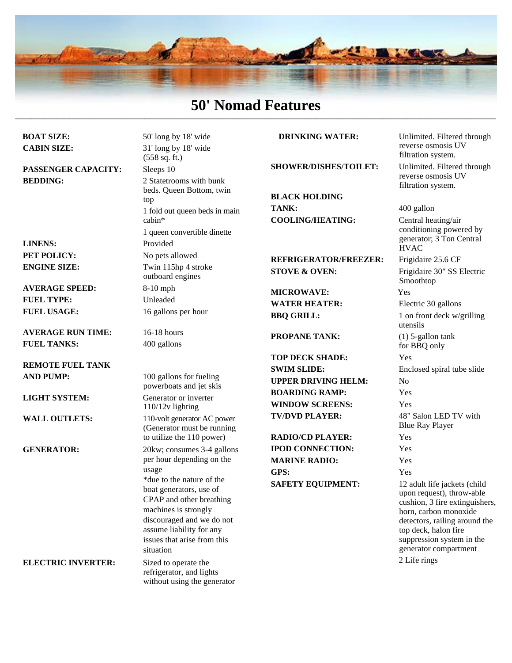

#### **50' Nomad Features** \_\_\_\_\_\_\_\_\_\_\_\_\_\_\_\_\_\_\_\_\_\_\_\_\_\_\_\_\_\_\_\_\_\_\_\_\_\_\_\_\_\_\_\_\_\_\_\_\_\_\_\_\_\_\_\_\_\_\_\_\_\_\_\_\_\_\_\_\_\_\_\_\_\_\_\_\_\_\_\_\_\_\_\_\_\_\_\_\_\_\_\_\_\_\_\_\_\_\_\_\_\_\_\_\_\_\_\_\_\_\_\_\_\_\_

**PASSENGER CAPACITY:** Sleeps 10 **BEDDING:** 2 State 2 State 2 State bunk

**LINENS:** Provided

**AVERAGE SPEED:** 8**-**10 mph **FUEL TYPE:** Unleaded **FUEL USAGE:** 16 gallons per hour

**AVERAGE RUN TIME:** 16-18 hours **FUEL TANKS:** 400 gallons

**REMOTE FUEL TANK AND PUMP:** 100 gallons for fueling

**BOAT SIZE:** 50' long by 18' wide **CABIN SIZE:** 31' long by 18' wide (558 sq. ft.) beds. Queen Bottom, twin top 1 fold out queen beds in main cabin\* 1 queen convertible dinette **PET POLICY:** No pets allowed **ENGINE SIZE:** Twin 115hp 4 stroke outboard engines

powerboats and jet skis **LIGHT SYSTEM:** Generator or inverter 110/12v lighting **WALL OUTLETS:** 110-volt generator AC power (Generator must be running to utilize the 110 power) **GENERATOR:** 20kw; consumes 3-4 gallons per hour depending on the usage \*due to the nature of the boat generators, use of CPAP and other breathing machines is strongly discouraged and we do not assume liability for any issues that arise from this situation

**ELECTRIC INVERTER:** Sized to operate the refrigerator, and lights without using the generator

#### **DRINKING WATER:** Unlimited. Filtered through

**BLACK HOLDING TANK:** 400 gallon **COOLING/HEATING:** Central heating/air

#### **REFRIGERATOR/FREEZER:** Frigidaire 25.6 CF **STOVE & OVEN:** Frigidaire 30" SS Electric

**MICROWAVE:** Yes **WATER HEATER:** Electric 30 gallons

**PROPANE TANK:** (1) 5-gallon tank

**TOP DECK SHADE:** Yes **SWIM SLIDE:** Enclosed spiral tube slide **UPPER DRIVING HELM:** No **BOARDING RAMP:** Yes **WINDOW SCREENS:** Yes

**RADIO/CD PLAYER:** Yes **IPOD CONNECTION:** Yes **MARINE RADIO:** Yes **GPS:** Yes **SAFETY EQUIPMENT:** 12 adult life jackets (child

reverse osmosis UV filtration system. **SHOWER/DISHES/TOILET:** Unlimited. Filtered through reverse osmosis UV

> conditioning powered by generator; 3 Ton Central **HVAC**

filtration system.

Smoothtop

**BBQ GRILL:** 1 on front deck w/grilling utensils for BBQ only **TV/DVD PLAYER:** 48" Salon LED TV with Blue Ray Player upon request), throw-able cushion, 3 fire extinguishers, horn, carbon monoxide

> detectors, railing around the top deck, halon fire suppression system in the generator compartment

2 Life rings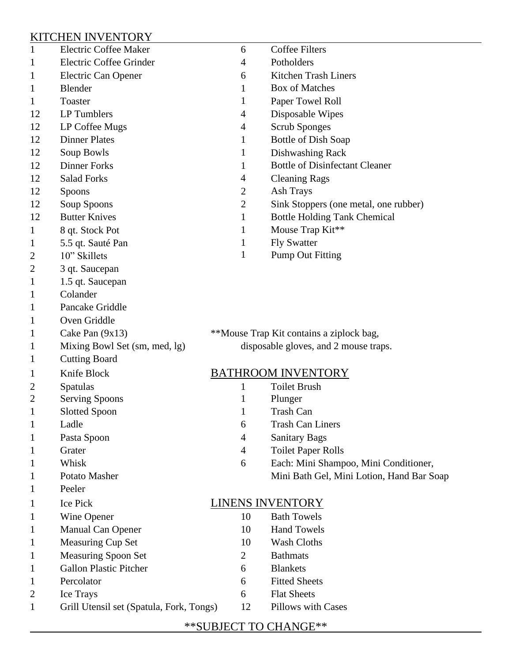### KITCHEN INVENTORY

| $\mathbf{1}$   | <b>Electric Coffee Maker</b>             | 6                                        | <b>Coffee Filters</b>                     |
|----------------|------------------------------------------|------------------------------------------|-------------------------------------------|
| 1              | Electric Coffee Grinder                  | 4                                        | Potholders                                |
| 1              | Electric Can Opener                      | 6                                        | Kitchen Trash Liners                      |
| 1              | <b>Blender</b>                           | 1                                        | <b>Box of Matches</b>                     |
| 1              | Toaster                                  | 1                                        | Paper Towel Roll                          |
| 12             | LP Tumblers                              | 4                                        | Disposable Wipes                          |
| 12             | LP Coffee Mugs                           | 4                                        | <b>Scrub Sponges</b>                      |
| 12             | <b>Dinner Plates</b>                     | 1                                        | Bottle of Dish Soap                       |
| 12             | Soup Bowls                               | 1                                        | Dishwashing Rack                          |
| 12             | <b>Dinner Forks</b>                      | $\mathbf 1$                              | <b>Bottle of Disinfectant Cleaner</b>     |
| 12             | <b>Salad Forks</b>                       | 4                                        | <b>Cleaning Rags</b>                      |
| 12             | Spoons                                   | $\overline{c}$                           | Ash Trays                                 |
| 12             | Soup Spoons                              | $\mathbf{2}$                             | Sink Stoppers (one metal, one rubber)     |
| 12             | <b>Butter Knives</b>                     | $\mathbf{1}$                             | <b>Bottle Holding Tank Chemical</b>       |
| 1              | 8 qt. Stock Pot                          | 1                                        | Mouse Trap Kit**                          |
| 1              | 5.5 qt. Sauté Pan                        | 1                                        | <b>Fly Swatter</b>                        |
| 2              | 10" Skillets                             | 1                                        | <b>Pump Out Fitting</b>                   |
| 2              | 3 qt. Saucepan                           |                                          |                                           |
| 1              | 1.5 qt. Saucepan                         |                                          |                                           |
| 1              | Colander                                 |                                          |                                           |
| 1              | Pancake Griddle                          |                                          |                                           |
| 1              | Oven Griddle                             |                                          |                                           |
| 1              | Cake Pan $(9x13)$                        | **Mouse Trap Kit contains a ziplock bag, |                                           |
| $\mathbf 1$    | Mixing Bowl Set (sm, med, lg)            |                                          | disposable gloves, and 2 mouse traps.     |
| 1              | <b>Cutting Board</b>                     |                                          |                                           |
| 1              | Knife Block                              |                                          | <b>BATHROOM INVENTORY</b>                 |
| $\overline{c}$ | Spatulas                                 | $\mathbf{1}$                             | <b>Toilet Brush</b>                       |
| 2              | <b>Serving Spoons</b>                    | 1                                        | Plunger                                   |
| 1              | <b>Slotted Spoon</b>                     | 1                                        | <b>Trash Can</b>                          |
| 1              | Ladle                                    | 6                                        | <b>Trash Can Liners</b>                   |
| 1              | Pasta Spoon                              | $\overline{4}$                           | <b>Sanitary Bags</b>                      |
| 1              | Grater                                   | 4                                        | <b>Toilet Paper Rolls</b>                 |
| 1              | Whisk                                    | 6                                        | Each: Mini Shampoo, Mini Conditioner,     |
| 1              | Potato Masher                            |                                          | Mini Bath Gel, Mini Lotion, Hand Bar Soap |
| 1              | Peeler                                   |                                          |                                           |
| 1              | Ice Pick                                 | <b>LINENS INVENTORY</b>                  |                                           |
| 1              | Wine Opener                              | 10                                       | <b>Bath Towels</b>                        |
| 1              | Manual Can Opener                        | 10                                       | <b>Hand Towels</b>                        |
| 1              | Measuring Cup Set                        | 10                                       | <b>Wash Cloths</b>                        |
| 1              | <b>Measuring Spoon Set</b>               | $\overline{2}$                           | <b>Bathmats</b>                           |
| 1              | <b>Gallon Plastic Pitcher</b>            | 6                                        | <b>Blankets</b>                           |
| 1              | Percolator                               | 6                                        | <b>Fitted Sheets</b>                      |
| 2              | Ice Trays                                | 6                                        | <b>Flat Sheets</b>                        |
| $\mathbf 1$    | Grill Utensil set (Spatula, Fork, Tongs) | 12                                       | Pillows with Cases                        |
|                |                                          |                                          |                                           |

# \*\*SUBJECT TO CHANGE\*\*